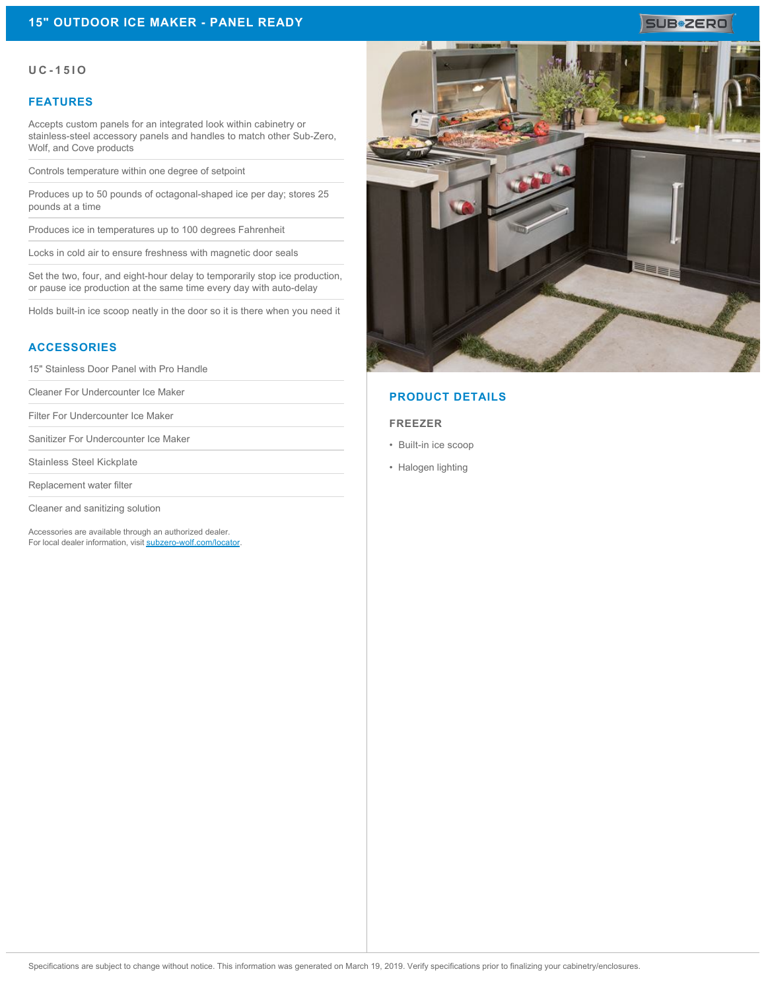# **SUB#ZERO**

### **UC-15IO**

## **FEATURES**

Accepts custom panels for an integrated look within cabinetry or stainless-steel accessory panels and handles to match other Sub-Zero, Wolf, and Cove products

Controls temperature within one degree of setpoint

Produces up to 50 pounds of octagonal-shaped ice per day; stores 25 pounds at a time

Produces ice in temperatures up to 100 degrees Fahrenheit

Locks in cold air to ensure freshness with magnetic door seals

Set the two, four, and eight-hour delay to temporarily stop ice production, or pause ice production at the same time every day with auto-delay

Holds built-in ice scoop neatly in the door so it is there when you need it

# **ACCESSORIES**

15" Stainless Door Panel with Pro Handle

Cleaner For Undercounter Ice Maker

Filter For Undercounter Ice Maker

Sanitizer For Undercounter Ice Maker

Stainless Steel Kickplate

Replacement water filter

Cleaner and sanitizing solution

Accessories are available through an authorized dealer. For local dealer information, visit [subzero-wolf.com/locator.](http://www.subzero-wolf.com/locator)



# **PRODUCT DETAILS**

### **FREEZER**

- Built-in ice scoop
- Halogen lighting